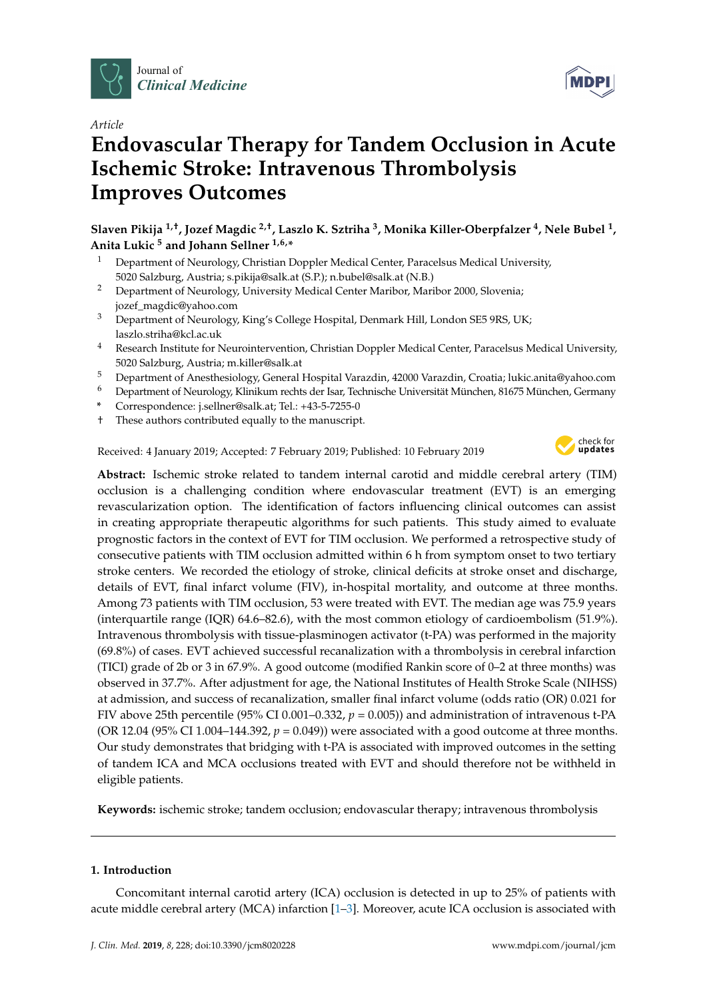



# **Endovascular Therapy for Tandem Occlusion in Acute Ischemic Stroke: Intravenous Thrombolysis Improves Outcomes**

**Slaven Pikija 1,†, Jozef Magdic 2,†, Laszlo K. Sztriha <sup>3</sup> , Monika Killer-Oberpfalzer <sup>4</sup> , Nele Bubel <sup>1</sup> , Anita Lukic <sup>5</sup> and Johann Sellner 1,6,\***

- <sup>1</sup> Department of Neurology, Christian Doppler Medical Center, Paracelsus Medical University, 5020 Salzburg, Austria; s.pikija@salk.at (S.P.); n.bubel@salk.at (N.B.)
- <sup>2</sup> Department of Neurology, University Medical Center Maribor, Maribor 2000, Slovenia; jozef\_magdic@yahoo.com
- <sup>3</sup> Department of Neurology, King's College Hospital, Denmark Hill, London SE5 9RS, UK; laszlo.striha@kcl.ac.uk
- <sup>4</sup> Research Institute for Neurointervention, Christian Doppler Medical Center, Paracelsus Medical University, 5020 Salzburg, Austria; m.killer@salk.at
- <sup>5</sup> Department of Anesthesiology, General Hospital Varazdin, 42000 Varazdin, Croatia; lukic.anita@yahoo.com
- <sup>6</sup> Department of Neurology, Klinikum rechts der Isar, Technische Universität München, 81675 München, Germany
- **\*** Correspondence: j.sellner@salk.at; Tel.: +43-5-7255-0
- † These authors contributed equally to the manuscript.

Received: 4 January 2019; Accepted: 7 February 2019; Published: 10 February 2019



MDP

**Abstract:** Ischemic stroke related to tandem internal carotid and middle cerebral artery (TIM) occlusion is a challenging condition where endovascular treatment (EVT) is an emerging revascularization option. The identification of factors influencing clinical outcomes can assist in creating appropriate therapeutic algorithms for such patients. This study aimed to evaluate prognostic factors in the context of EVT for TIM occlusion. We performed a retrospective study of consecutive patients with TIM occlusion admitted within 6 h from symptom onset to two tertiary stroke centers. We recorded the etiology of stroke, clinical deficits at stroke onset and discharge, details of EVT, final infarct volume (FIV), in-hospital mortality, and outcome at three months. Among 73 patients with TIM occlusion, 53 were treated with EVT. The median age was 75.9 years (interquartile range (IQR) 64.6–82.6), with the most common etiology of cardioembolism (51.9%). Intravenous thrombolysis with tissue-plasminogen activator (t-PA) was performed in the majority (69.8%) of cases. EVT achieved successful recanalization with a thrombolysis in cerebral infarction (TICI) grade of 2b or 3 in 67.9%. A good outcome (modified Rankin score of 0–2 at three months) was observed in 37.7%. After adjustment for age, the National Institutes of Health Stroke Scale (NIHSS) at admission, and success of recanalization, smaller final infarct volume (odds ratio (OR) 0.021 for FIV above 25th percentile (95% CI 0.001–0.332, *p* = 0.005)) and administration of intravenous t-PA (OR 12.04 (95% CI 1.004–144.392,  $p = 0.049$ )) were associated with a good outcome at three months. Our study demonstrates that bridging with t-PA is associated with improved outcomes in the setting of tandem ICA and MCA occlusions treated with EVT and should therefore not be withheld in eligible patients.

**Keywords:** ischemic stroke; tandem occlusion; endovascular therapy; intravenous thrombolysis

## **1. Introduction**

Concomitant internal carotid artery (ICA) occlusion is detected in up to 25% of patients with acute middle cerebral artery (MCA) infarction [\[1](#page-6-0)[–3\]](#page-6-1). Moreover, acute ICA occlusion is associated with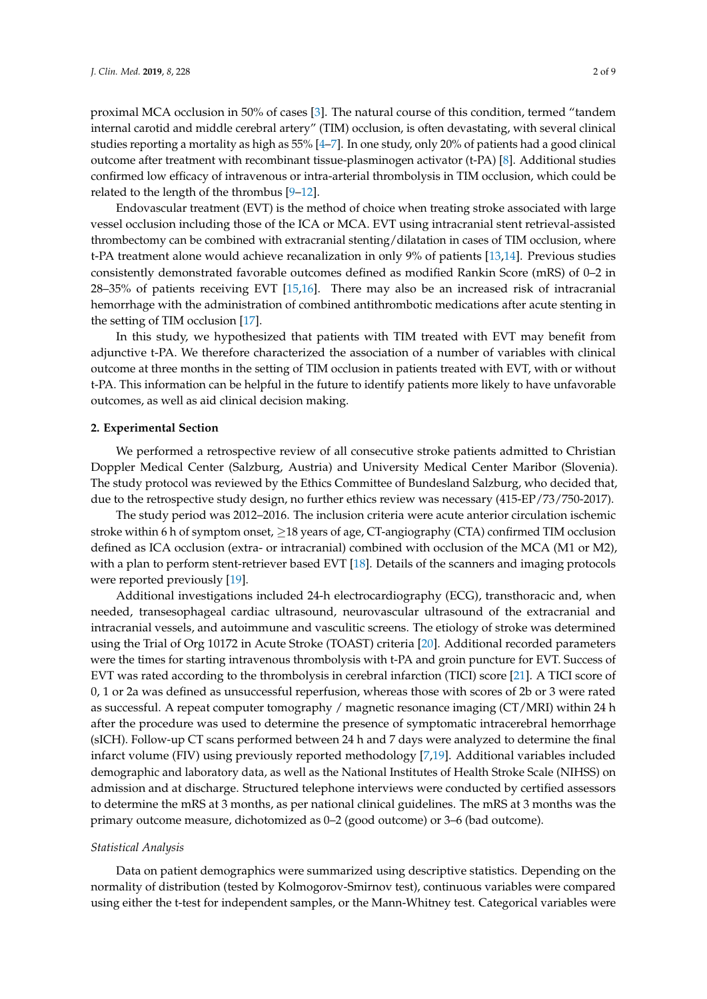proximal MCA occlusion in 50% of cases [\[3\]](#page-6-1). The natural course of this condition, termed "tandem internal carotid and middle cerebral artery" (TIM) occlusion, is often devastating, with several clinical studies reporting a mortality as high as 55% [\[4–](#page-6-2)[7\]](#page-6-3). In one study, only 20% of patients had a good clinical outcome after treatment with recombinant tissue-plasminogen activator (t-PA) [\[8\]](#page-6-4). Additional studies confirmed low efficacy of intravenous or intra-arterial thrombolysis in TIM occlusion, which could be related to the length of the thrombus [\[9–](#page-6-5)[12\]](#page-6-6).

Endovascular treatment (EVT) is the method of choice when treating stroke associated with large vessel occlusion including those of the ICA or MCA. EVT using intracranial stent retrieval-assisted thrombectomy can be combined with extracranial stenting/dilatation in cases of TIM occlusion, where t-PA treatment alone would achieve recanalization in only 9% of patients [\[13](#page-6-7)[,14\]](#page-7-0). Previous studies consistently demonstrated favorable outcomes defined as modified Rankin Score (mRS) of 0–2 in 28–35% of patients receiving EVT [\[15,](#page-7-1)[16\]](#page-7-2). There may also be an increased risk of intracranial hemorrhage with the administration of combined antithrombotic medications after acute stenting in the setting of TIM occlusion [\[17\]](#page-7-3).

In this study, we hypothesized that patients with TIM treated with EVT may benefit from adjunctive t-PA. We therefore characterized the association of a number of variables with clinical outcome at three months in the setting of TIM occlusion in patients treated with EVT, with or without t-PA. This information can be helpful in the future to identify patients more likely to have unfavorable outcomes, as well as aid clinical decision making.

#### **2. Experimental Section**

We performed a retrospective review of all consecutive stroke patients admitted to Christian Doppler Medical Center (Salzburg, Austria) and University Medical Center Maribor (Slovenia). The study protocol was reviewed by the Ethics Committee of Bundesland Salzburg, who decided that, due to the retrospective study design, no further ethics review was necessary (415-EP/73/750-2017).

The study period was 2012–2016. The inclusion criteria were acute anterior circulation ischemic stroke within 6 h of symptom onset, ≥18 years of age, CT-angiography (CTA) confirmed TIM occlusion defined as ICA occlusion (extra- or intracranial) combined with occlusion of the MCA (M1 or M2), with a plan to perform stent-retriever based EVT [\[18\]](#page-7-4). Details of the scanners and imaging protocols were reported previously [\[19\]](#page-7-5).

Additional investigations included 24-h electrocardiography (ECG), transthoracic and, when needed, transesophageal cardiac ultrasound, neurovascular ultrasound of the extracranial and intracranial vessels, and autoimmune and vasculitic screens. The etiology of stroke was determined using the Trial of Org 10172 in Acute Stroke (TOAST) criteria [\[20\]](#page-7-6). Additional recorded parameters were the times for starting intravenous thrombolysis with t-PA and groin puncture for EVT. Success of EVT was rated according to the thrombolysis in cerebral infarction (TICI) score [\[21\]](#page-7-7). A TICI score of 0, 1 or 2a was defined as unsuccessful reperfusion, whereas those with scores of 2b or 3 were rated as successful. A repeat computer tomography / magnetic resonance imaging (CT/MRI) within 24 h after the procedure was used to determine the presence of symptomatic intracerebral hemorrhage (sICH). Follow-up CT scans performed between 24 h and 7 days were analyzed to determine the final infarct volume (FIV) using previously reported methodology [\[7](#page-6-3)[,19\]](#page-7-5). Additional variables included demographic and laboratory data, as well as the National Institutes of Health Stroke Scale (NIHSS) on admission and at discharge. Structured telephone interviews were conducted by certified assessors to determine the mRS at 3 months, as per national clinical guidelines. The mRS at 3 months was the primary outcome measure, dichotomized as 0–2 (good outcome) or 3–6 (bad outcome).

#### *Statistical Analysis*

Data on patient demographics were summarized using descriptive statistics. Depending on the normality of distribution (tested by Kolmogorov-Smirnov test), continuous variables were compared using either the t-test for independent samples, or the Mann-Whitney test. Categorical variables were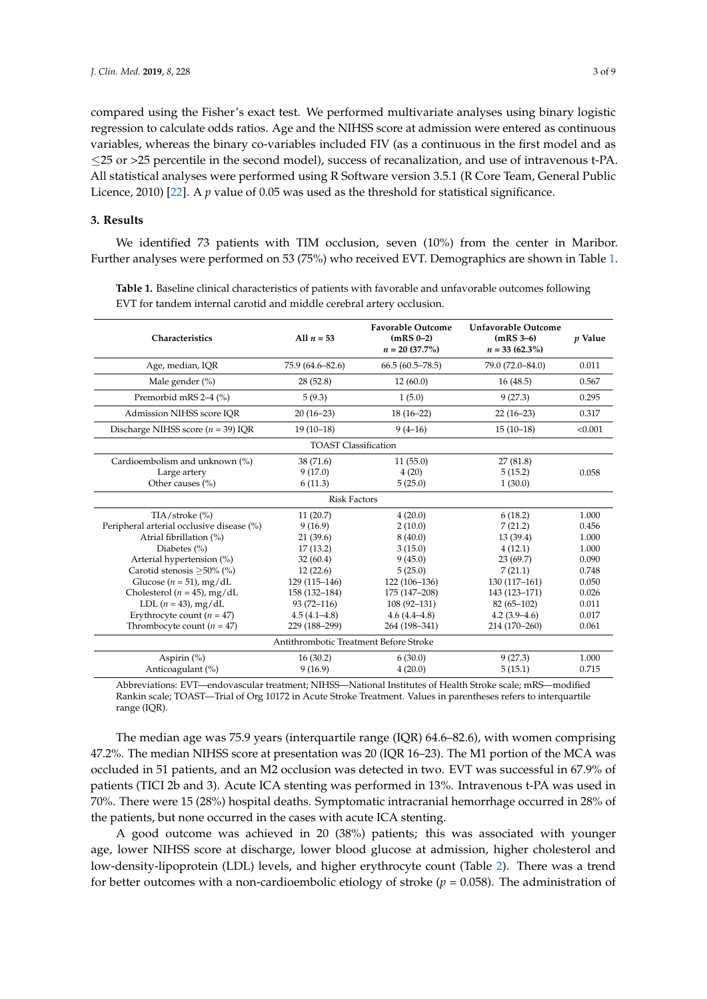compared using the Fisher's exact test. We performed multivariate analyses using binary logistic regression to calculate odds ratios. Age and the NIHSS score at admission were entered as continuous variables, whereas the binary co-variables included FIV (as a continuous in the first model and as ≤25 or >25 percentile in the second model), success of recanalization, and use of intravenous t-PA. All statistical analyses were performed using R Software version 3.5.1 (R Core Team, General Public Licence, 2010) [\[22\]](#page-7-8). A *p* value of 0.05 was used as the threshold for statistical significance.

#### **3. Results**

We identified 73 patients with TIM occlusion, seven (10%) from the center in Maribor. Further analyses were performed on 53 (75%) who received EVT. Demographics are shown in Table [1.](#page-2-0)

| Characteristics                                                                                                                                                                                                                                                                                                                     | All $n = 53$                                                                                                                                                 | <b>Favorable Outcome</b><br>$(mRS 0-2)$<br>$n = 20$ (37.7%)                                                                                              | Unfavorable Outcome<br>$(mRS 3-6)$<br>$n = 33(62.3\%)$                                                                                                 | <i>p</i> Value                                                                                  |  |  |
|-------------------------------------------------------------------------------------------------------------------------------------------------------------------------------------------------------------------------------------------------------------------------------------------------------------------------------------|--------------------------------------------------------------------------------------------------------------------------------------------------------------|----------------------------------------------------------------------------------------------------------------------------------------------------------|--------------------------------------------------------------------------------------------------------------------------------------------------------|-------------------------------------------------------------------------------------------------|--|--|
| Age, median, IQR                                                                                                                                                                                                                                                                                                                    | 75.9 (64.6–82.6)                                                                                                                                             | $66.5(60.5 - 78.5)$                                                                                                                                      | 79.0 (72.0-84.0)                                                                                                                                       | 0.011                                                                                           |  |  |
| Male gender $(\% )$                                                                                                                                                                                                                                                                                                                 | 28(52.8)                                                                                                                                                     | 12(60.0)                                                                                                                                                 | 16(48.5)                                                                                                                                               | 0.567                                                                                           |  |  |
| Premorbid mRS 2-4 (%)                                                                                                                                                                                                                                                                                                               | 5(9.3)                                                                                                                                                       | 1(5.0)                                                                                                                                                   | 9(27.3)                                                                                                                                                | 0.295                                                                                           |  |  |
| Admission NIHSS score IOR                                                                                                                                                                                                                                                                                                           | $20(16-23)$                                                                                                                                                  | $18(16-22)$                                                                                                                                              | $22(16-23)$                                                                                                                                            | 0.317                                                                                           |  |  |
| Discharge NIHSS score ( $n = 39$ ) IQR                                                                                                                                                                                                                                                                                              | $19(10-18)$                                                                                                                                                  | $9(4-16)$                                                                                                                                                | $15(10-18)$                                                                                                                                            | < 0.001                                                                                         |  |  |
| <b>TOAST Classification</b>                                                                                                                                                                                                                                                                                                         |                                                                                                                                                              |                                                                                                                                                          |                                                                                                                                                        |                                                                                                 |  |  |
| Cardioembolism and unknown (%)<br>Large artery<br>Other causes (%)                                                                                                                                                                                                                                                                  | 38 (71.6)<br>9(17.0)<br>6(11.3)                                                                                                                              | 11(55.0)<br>27(81.8)<br>4(20)<br>5(15.2)<br>1(30.0)<br>5(25.0)                                                                                           |                                                                                                                                                        | 0.058                                                                                           |  |  |
| <b>Risk Factors</b>                                                                                                                                                                                                                                                                                                                 |                                                                                                                                                              |                                                                                                                                                          |                                                                                                                                                        |                                                                                                 |  |  |
| $TIA/stroke$ (%)<br>Peripheral arterial occlusive disease (%)<br>Atrial fibrillation (%)<br>Diabetes $(\% )$<br>Arterial hypertension (%)<br>Carotid stenosis > 50% (%)<br>Glucose ( $n = 51$ ), mg/dL<br>Cholesterol ( $n = 45$ ), mg/dL<br>LDL $(n = 43)$ , mg/dL<br>Erythrocyte count $(n = 47)$<br>Thrombocyte count $(n = 47)$ | 11(20.7)<br>9(16.9)<br>21(39.6)<br>17(13.2)<br>32(60.4)<br>12(22.6)<br>129 (115-146)<br>158 (132-184)<br>$93(72 - 116)$<br>$4.5(4.1 - 4.8)$<br>229 (188-299) | 4(20.0)<br>2(10.0)<br>8(40.0)<br>3(15.0)<br>9(45.0)<br>5(25.0)<br>122 (106-136)<br>175 (147-208)<br>$108(92 - 131)$<br>$4.6(4.4 - 4.8)$<br>264 (198-341) | 6(18.2)<br>7(21.2)<br>13 (39.4)<br>4(12.1)<br>23(69.7)<br>7(21.1)<br>130 (117-161)<br>143 (123-171)<br>$82(65-102)$<br>$4.2(3.9-4.6)$<br>214 (170-260) | 1.000<br>0.456<br>1.000<br>1.000<br>0.090<br>0.748<br>0.050<br>0.026<br>0.011<br>0.017<br>0.061 |  |  |
| Antithrombotic Treatment Before Stroke                                                                                                                                                                                                                                                                                              |                                                                                                                                                              |                                                                                                                                                          |                                                                                                                                                        |                                                                                                 |  |  |
| Aspirin (%)<br>Anticoagulant (%)                                                                                                                                                                                                                                                                                                    | 16(30.2)<br>9(16.9)                                                                                                                                          | 6(30.0)<br>4(20.0)                                                                                                                                       | 9(27.3)<br>5(15.1)                                                                                                                                     | 1.000<br>0.715                                                                                  |  |  |

<span id="page-2-0"></span>**Table 1.** Baseline clinical characteristics of patients with favorable and unfavorable outcomes following EVT for tandem internal carotid and middle cerebral artery occlusion.

Abbreviations: EVT—endovascular treatment; NIHSS—National Institutes of Health Stroke scale; mRS—modified Rankin scale; TOAST—Trial of Org 10172 in Acute Stroke Treatment. Values in parentheses refers to interquartile range (IQR).

The median age was 75.9 years (interquartile range (IQR) 64.6–82.6), with women comprising 47.2%. The median NIHSS score at presentation was 20 (IQR 16–23). The M1 portion of the MCA was occluded in 51 patients, and an M2 occlusion was detected in two. EVT was successful in 67.9% of patients (TICI 2b and 3). Acute ICA stenting was performed in 13%. Intravenous t-PA was used in 70%. There were 15 (28%) hospital deaths. Symptomatic intracranial hemorrhage occurred in 28% of the patients, but none occurred in the cases with acute ICA stenting.

A good outcome was achieved in 20 (38%) patients; this was associated with younger age, lower NIHSS score at discharge, lower blood glucose at admission, higher cholesterol and low-density-lipoprotein (LDL) levels, and higher erythrocyte count (Table [2\)](#page-3-0). There was a trend for better outcomes with a non-cardioembolic etiology of stroke (*p* = 0.058). The administration of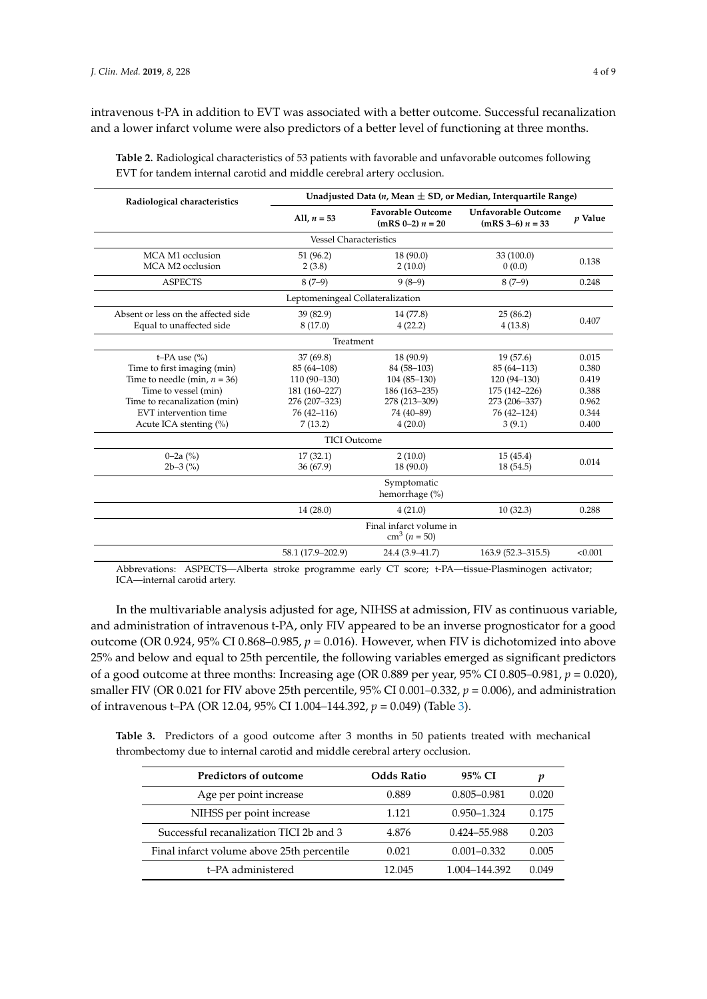intravenous t-PA in addition to EVT was associated with a better outcome. Successful recanalization and a lower infarct volume were also predictors of a better level of functioning at three months.

| Radiological characteristics        | Unadjusted Data $(n, Mean \pm SD)$ , or Median, Interguartile Range) |                                                |                                                  |                |  |  |  |  |
|-------------------------------------|----------------------------------------------------------------------|------------------------------------------------|--------------------------------------------------|----------------|--|--|--|--|
|                                     | All, $n = 53$                                                        | <b>Favorable Outcome</b><br>$(mRS 0-2) n = 20$ | <b>Unfavorable Outcome</b><br>$(mRS 3-6) n = 33$ | <i>v</i> Value |  |  |  |  |
|                                     | <b>Vessel Characteristics</b>                                        |                                                |                                                  |                |  |  |  |  |
| MCA M1 occlusion                    | 51 (96.2)                                                            | 18(90.0)                                       | 33 (100.0)                                       |                |  |  |  |  |
| MCA M2 occlusion                    | 2(3.8)                                                               | 2(10.0)                                        | 0(0.0)                                           | 0.138          |  |  |  |  |
| <b>ASPECTS</b>                      | $8(7-9)$                                                             | $9(8-9)$                                       | $8(7-9)$                                         | 0.248          |  |  |  |  |
| Leptomeningeal Collateralization    |                                                                      |                                                |                                                  |                |  |  |  |  |
| Absent or less on the affected side | 39 (82.9)                                                            | 14 (77.8)                                      | 25(86.2)                                         |                |  |  |  |  |
| Equal to unaffected side            | 8(17.0)                                                              | 4(22.2)                                        | 4(13.8)                                          | 0.407          |  |  |  |  |
|                                     | Treatment                                                            |                                                |                                                  |                |  |  |  |  |
| t-PA use $(\% )$                    | 37(69.8)<br>18 (90.9)                                                |                                                | 19(57.6)                                         | 0.015          |  |  |  |  |
| Time to first imaging (min)         | $85(64 - 108)$                                                       | 84 (58-103)                                    | $85(64 - 113)$                                   | 0.380          |  |  |  |  |
| Time to needle (min, $n = 36$ )     | $110(90-130)$                                                        | $104(85-130)$                                  | $120(94-130)$                                    | 0.419          |  |  |  |  |
| Time to vessel (min)                | 181 (160-227)                                                        | 186 (163-235)                                  | 175 (142-226)                                    | 0.388          |  |  |  |  |
| Time to recanalization (min)        | 276 (207-323)                                                        | 278 (213-309)                                  | 273 (206-337)                                    | 0.962          |  |  |  |  |
| EVT intervention time               | $76(42 - 116)$                                                       | 74 (40-89)                                     | 76 (42-124)<br>0.344                             |                |  |  |  |  |
| Acute ICA stenting $(\%)$           | 7(13.2)<br>4(20.0)                                                   |                                                | 3(9.1)                                           | 0.400          |  |  |  |  |
|                                     | <b>TICI Outcome</b>                                                  |                                                |                                                  |                |  |  |  |  |
| $0-2a(%)$                           | 17(32.1)                                                             | 2(10.0)                                        | 15(45.4)                                         |                |  |  |  |  |
| $2b-3$ $\binom{9}{0}$               | 36 (67.9)                                                            | 18 (90.0)                                      | 18 (54.5)                                        | 0.014          |  |  |  |  |
|                                     |                                                                      | Symptomatic<br>hemorrhage (%)                  |                                                  |                |  |  |  |  |
|                                     | 14(28.0)                                                             | 4(21.0)                                        | 10(32.3)                                         | 0.288          |  |  |  |  |
|                                     |                                                                      | Final infarct volume in<br>$cm^3 (n = 50)$     |                                                  |                |  |  |  |  |
|                                     | 58.1 (17.9-202.9)                                                    | 24.4 (3.9-41.7)                                | 163.9 (52.3-315.5)                               | < 0.001        |  |  |  |  |

<span id="page-3-0"></span>**Table 2.** Radiological characteristics of 53 patients with favorable and unfavorable outcomes following EVT for tandem internal carotid and middle cerebral artery occlusion.

Abbrevations: ASPECTS—Alberta stroke programme early CT score; t-PA—tissue-Plasminogen activator; ICA—internal carotid artery.

In the multivariable analysis adjusted for age, NIHSS at admission, FIV as continuous variable, and administration of intravenous t-PA, only FIV appeared to be an inverse prognosticator for a good outcome (OR 0.924, 95% CI 0.868–0.985, *p* = 0.016). However, when FIV is dichotomized into above 25% and below and equal to 25th percentile, the following variables emerged as significant predictors of a good outcome at three months: Increasing age (OR 0.889 per year, 95% CI 0.805–0.981, *p* = 0.020), smaller FIV (OR 0.021 for FIV above 25th percentile, 95% CI 0.001–0.332, *p* = 0.006), and administration of intravenous t–PA (OR 12.04, 95% CI 1.004–144.392, *p* = 0.049) (Table [3\)](#page-3-1).

<span id="page-3-1"></span>**Table 3.** Predictors of a good outcome after 3 months in 50 patients treated with mechanical thrombectomy due to internal carotid and middle cerebral artery occlusion.

| Predictors of outcome                      | <b>Odds Ratio</b> | 95% CI          | p     |
|--------------------------------------------|-------------------|-----------------|-------|
| Age per point increase                     | 0.889             | $0.805 - 0.981$ | 0.020 |
| NIHSS per point increase                   | 1.121             | $0.950 - 1.324$ | 0.175 |
| Successful recanalization TICI 2b and 3    | 4.876             | 0.424-55.988    | 0.203 |
| Final infarct volume above 25th percentile | 0.021             | $0.001 - 0.332$ | 0.005 |
| t-PA administered                          | 12.045            | 1.004-144.392   | 0.049 |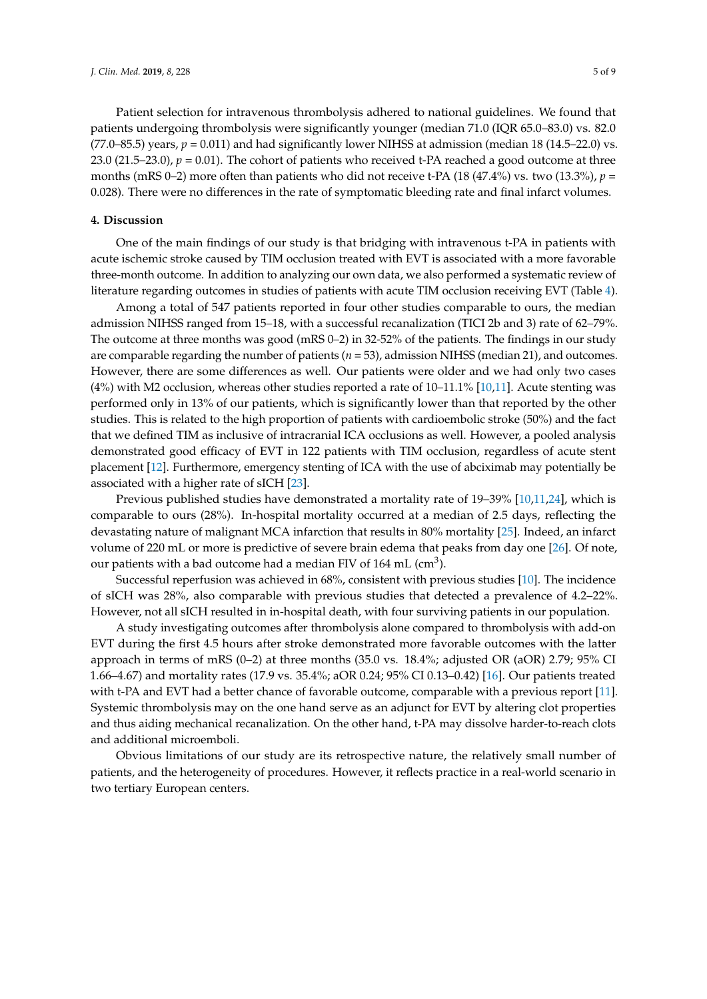Patient selection for intravenous thrombolysis adhered to national guidelines. We found that patients undergoing thrombolysis were significantly younger (median 71.0 (IQR 65.0–83.0) vs. 82.0  $(77.0–85.5)$  years,  $p = 0.011$ ) and had significantly lower NIHSS at admission (median 18 (14.5–22.0) vs. 23.0 (21.5–23.0),  $p = 0.01$ ). The cohort of patients who received t-PA reached a good outcome at three months (mRS 0–2) more often than patients who did not receive t-PA (18 (47.4%) vs. two (13.3%), *p* = 0.028). There were no differences in the rate of symptomatic bleeding rate and final infarct volumes.

#### **4. Discussion**

One of the main findings of our study is that bridging with intravenous t-PA in patients with acute ischemic stroke caused by TIM occlusion treated with EVT is associated with a more favorable three-month outcome. In addition to analyzing our own data, we also performed a systematic review of literature regarding outcomes in studies of patients with acute TIM occlusion receiving EVT (Table [4\)](#page-5-0).

Among a total of 547 patients reported in four other studies comparable to ours, the median admission NIHSS ranged from 15–18, with a successful recanalization (TICI 2b and 3) rate of 62–79%. The outcome at three months was good (mRS 0–2) in 32-52% of the patients. The findings in our study are comparable regarding the number of patients (*n* = 53), admission NIHSS (median 21), and outcomes. However, there are some differences as well. Our patients were older and we had only two cases (4%) with M2 occlusion, whereas other studies reported a rate of 10–11.1% [\[10](#page-6-8)[,11\]](#page-6-9). Acute stenting was performed only in 13% of our patients, which is significantly lower than that reported by the other studies. This is related to the high proportion of patients with cardioembolic stroke (50%) and the fact that we defined TIM as inclusive of intracranial ICA occlusions as well. However, a pooled analysis demonstrated good efficacy of EVT in 122 patients with TIM occlusion, regardless of acute stent placement [\[12\]](#page-6-6). Furthermore, emergency stenting of ICA with the use of abciximab may potentially be associated with a higher rate of sICH [\[23\]](#page-7-9).

Previous published studies have demonstrated a mortality rate of 19–39% [\[10,](#page-6-8)[11,](#page-6-9)[24\]](#page-7-10), which is comparable to ours (28%). In-hospital mortality occurred at a median of 2.5 days, reflecting the devastating nature of malignant MCA infarction that results in 80% mortality [\[25\]](#page-7-11). Indeed, an infarct volume of 220 mL or more is predictive of severe brain edema that peaks from day one [\[26\]](#page-7-12). Of note, our patients with a bad outcome had a median FIV of 164 mL (cm<sup>3</sup>).

Successful reperfusion was achieved in 68%, consistent with previous studies [\[10\]](#page-6-8). The incidence of sICH was 28%, also comparable with previous studies that detected a prevalence of 4.2–22%. However, not all sICH resulted in in-hospital death, with four surviving patients in our population.

A study investigating outcomes after thrombolysis alone compared to thrombolysis with add-on EVT during the first 4.5 hours after stroke demonstrated more favorable outcomes with the latter approach in terms of mRS (0–2) at three months (35.0 vs. 18.4%; adjusted OR (aOR) 2.79; 95% CI 1.66–4.67) and mortality rates (17.9 vs. 35.4%; aOR 0.24; 95% CI 0.13–0.42) [\[16\]](#page-7-2). Our patients treated with t-PA and EVT had a better chance of favorable outcome, comparable with a previous report [\[11\]](#page-6-9). Systemic thrombolysis may on the one hand serve as an adjunct for EVT by altering clot properties and thus aiding mechanical recanalization. On the other hand, t-PA may dissolve harder-to-reach clots and additional microemboli.

Obvious limitations of our study are its retrospective nature, the relatively small number of patients, and the heterogeneity of procedures. However, it reflects practice in a real-world scenario in two tertiary European centers.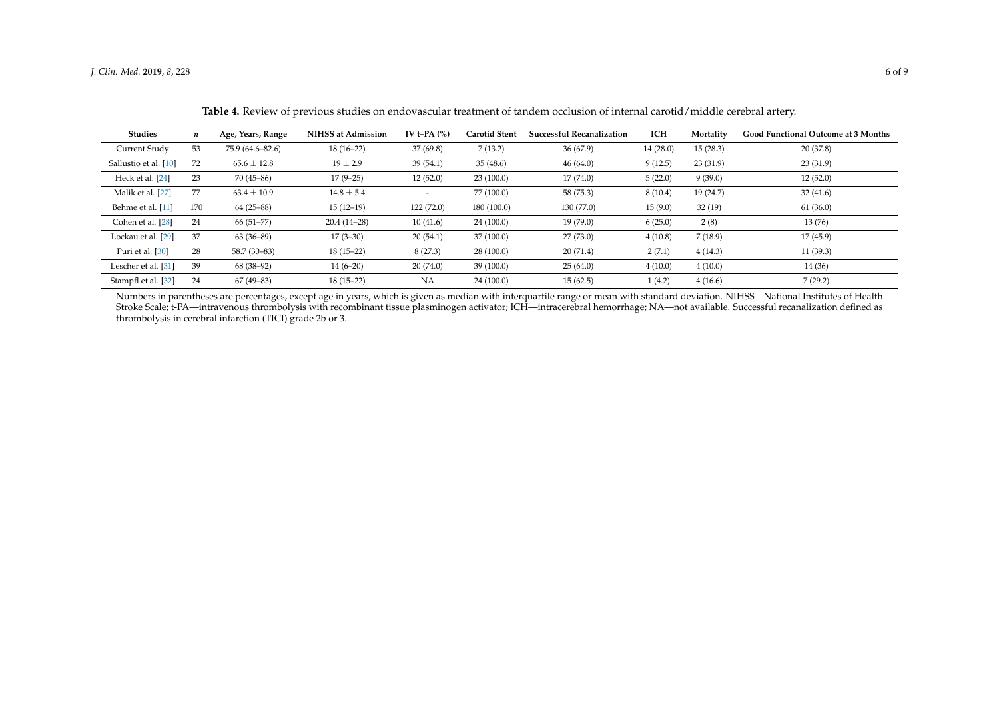| <b>Studies</b>        | n   | Age, Years, Range | <b>NIHSS at Admission</b> | IV t-PA $(%)$ | <b>Carotid Stent</b> | <b>Successful Recanalization</b> | <b>ICH</b> | Mortality | <b>Good Functional Outcome at 3 Months</b> |
|-----------------------|-----|-------------------|---------------------------|---------------|----------------------|----------------------------------|------------|-----------|--------------------------------------------|
| Current Study         | 53  | 75.9 (64.6–82.6)  | $18(16-22)$               | 37(69.8)      | 7(13.2)              | 36(67.9)                         | 14(28.0)   | 15(28.3)  | 20(37.8)                                   |
| Sallustio et al. [10] | 72  | $65.6 \pm 12.8$   | $19 \pm 2.9$              | 39(54.1)      | 35(48.6)             | 46(64.0)                         | 9(12.5)    | 23(31.9)  | 23(31.9)                                   |
| Heck et al. [24]      | 23  | $70(45-86)$       | $17(9-25)$                | 12(52.0)      | 23(100.0)            | 17(74.0)                         | 5(22.0)    | 9(39.0)   | 12(52.0)                                   |
| Malik et al. [27]     | 77  | $63.4 \pm 10.9$   | $14.8 \pm 5.4$            |               | 77 (100.0)           | 58 (75.3)                        | 8(10.4)    | 19(24.7)  | 32(41.6)                                   |
| Behme et al. [11]     | 170 | $64(25-88)$       | $15(12-19)$               | 122(72.0)     | 180(100.0)           | 130(77.0)                        | 15(9.0)    | 32(19)    | 61(36.0)                                   |
| Cohen et al. [28]     | 24  | $66(51-77)$       | $20.4(14-28)$             | 10(41.6)      | 24(100.0)            | 19(79.0)                         | 6(25.0)    | 2(8)      | 13(76)                                     |
| Lockau et al. [29]    | 37  | $63(36-89)$       | $17(3-30)$                | 20(54.1)      | 37 (100.0)           | 27(73.0)                         | 4(10.8)    | 7(18.9)   | 17(45.9)                                   |
| Puri et al. [30]      | 28  | 58.7 (30-83)      | $18(15-22)$               | 8(27.3)       | 28(100.0)            | 20(71.4)                         | 2(7.1)     | 4(14.3)   | 11(39.3)                                   |
| Lescher et al. [31]   | 39  | 68 (38-92)        | $14(6-20)$                | 20(74.0)      | 39(100.0)            | 25(64.0)                         | 4(10.0)    | 4(10.0)   | 14 (36)                                    |
| Stampfl et al. [32]   | 24  | $67(49-83)$       | $18(15-22)$               | NA            | 24(100.0)            | 15(62.5)                         | 1(4.2)     | 4(16.6)   | 7(29.2)                                    |

**Table 4.** Review of previous studies on endovascular treatment of tandem occlusion of internal carotid/middle cerebral artery.

<span id="page-5-0"></span>Numbers in parentheses are percentages, except age in years, which is given as median with interquartile range or mean with standard deviation. NIHSS—National Institutes of Health Stroke Scale; t-PA—intravenous thrombolysis with recombinant tissue plasminogen activator; ICH—intracerebral hemorrhage; NA—not available. Successful recanalization defined as thrombolysis in cerebral infarction (TICI) grade 2b or 3.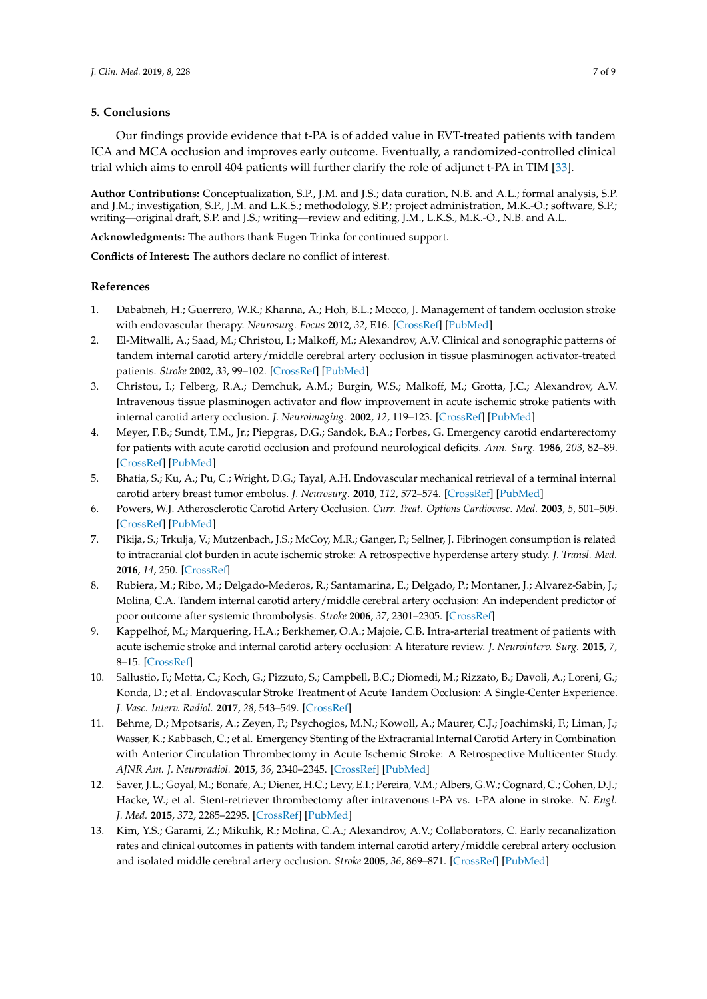### **5. Conclusions**

Our findings provide evidence that t-PA is of added value in EVT-treated patients with tandem ICA and MCA occlusion and improves early outcome. Eventually, a randomized-controlled clinical trial which aims to enroll 404 patients will further clarify the role of adjunct t-PA in TIM [\[33\]](#page-8-1).

**Author Contributions:** Conceptualization, S.P., J.M. and J.S.; data curation, N.B. and A.L.; formal analysis, S.P. and J.M.; investigation, S.P., J.M. and L.K.S.; methodology, S.P.; project administration, M.K.-O.; software, S.P.; writing—original draft, S.P. and J.S.; writing—review and editing, J.M., L.K.S., M.K.-O., N.B. and A.L.

**Acknowledgments:** The authors thank Eugen Trinka for continued support.

**Conflicts of Interest:** The authors declare no conflict of interest.

#### **References**

- <span id="page-6-0"></span>1. Dababneh, H.; Guerrero, W.R.; Khanna, A.; Hoh, B.L.; Mocco, J. Management of tandem occlusion stroke with endovascular therapy. *Neurosurg. Focus* **2012**, *32*, E16. [\[CrossRef\]](http://dx.doi.org/10.3171/2012.1.FOCUS11350) [\[PubMed\]](http://www.ncbi.nlm.nih.gov/pubmed/22537125)
- 2. El-Mitwalli, A.; Saad, M.; Christou, I.; Malkoff, M.; Alexandrov, A.V. Clinical and sonographic patterns of tandem internal carotid artery/middle cerebral artery occlusion in tissue plasminogen activator-treated patients. *Stroke* **2002**, *33*, 99–102. [\[CrossRef\]](http://dx.doi.org/10.1161/hs0102.101892) [\[PubMed\]](http://www.ncbi.nlm.nih.gov/pubmed/11779896)
- <span id="page-6-10"></span><span id="page-6-1"></span>3. Christou, I.; Felberg, R.A.; Demchuk, A.M.; Burgin, W.S.; Malkoff, M.; Grotta, J.C.; Alexandrov, A.V. Intravenous tissue plasminogen activator and flow improvement in acute ischemic stroke patients with internal carotid artery occlusion. *J. Neuroimaging.* **2002**, *12*, 119–123. [\[CrossRef\]](http://dx.doi.org/10.1111/j.1552-6569.2002.tb00107.x) [\[PubMed\]](http://www.ncbi.nlm.nih.gov/pubmed/11977905)
- <span id="page-6-11"></span><span id="page-6-2"></span>4. Meyer, F.B.; Sundt, T.M., Jr.; Piepgras, D.G.; Sandok, B.A.; Forbes, G. Emergency carotid endarterectomy for patients with acute carotid occlusion and profound neurological deficits. *Ann. Surg.* **1986**, *203*, 82–89. [\[CrossRef\]](http://dx.doi.org/10.1097/00000658-198601000-00014) [\[PubMed\]](http://www.ncbi.nlm.nih.gov/pubmed/3942424)
- 5. Bhatia, S.; Ku, A.; Pu, C.; Wright, D.G.; Tayal, A.H. Endovascular mechanical retrieval of a terminal internal carotid artery breast tumor embolus. *J. Neurosurg.* **2010**, *112*, 572–574. [\[CrossRef\]](http://dx.doi.org/10.3171/2009.6.JNS09221) [\[PubMed\]](http://www.ncbi.nlm.nih.gov/pubmed/19630491)
- 6. Powers, W.J. Atherosclerotic Carotid Artery Occlusion. *Curr. Treat. Options Cardiovasc. Med.* **2003**, *5*, 501–509. [\[CrossRef\]](http://dx.doi.org/10.1007/s11936-003-0039-3) [\[PubMed\]](http://www.ncbi.nlm.nih.gov/pubmed/14575627)
- <span id="page-6-3"></span>7. Pikija, S.; Trkulja, V.; Mutzenbach, J.S.; McCoy, M.R.; Ganger, P.; Sellner, J. Fibrinogen consumption is related to intracranial clot burden in acute ischemic stroke: A retrospective hyperdense artery study. *J. Transl. Med.* **2016**, *14*, 250. [\[CrossRef\]](http://dx.doi.org/10.1186/s12967-016-1006-6)
- <span id="page-6-4"></span>8. Rubiera, M.; Ribo, M.; Delgado-Mederos, R.; Santamarina, E.; Delgado, P.; Montaner, J.; Alvarez-Sabin, J.; Molina, C.A. Tandem internal carotid artery/middle cerebral artery occlusion: An independent predictor of poor outcome after systemic thrombolysis. *Stroke* **2006**, *37*, 2301–2305. [\[CrossRef\]](http://dx.doi.org/10.1161/01.STR.0000237070.80133.1d)
- <span id="page-6-5"></span>9. Kappelhof, M.; Marquering, H.A.; Berkhemer, O.A.; Majoie, C.B. Intra-arterial treatment of patients with acute ischemic stroke and internal carotid artery occlusion: A literature review. *J. Neurointerv. Surg.* **2015**, *7*, 8–15. [\[CrossRef\]](http://dx.doi.org/10.1136/neurintsurg-2013-011004)
- <span id="page-6-8"></span>10. Sallustio, F.; Motta, C.; Koch, G.; Pizzuto, S.; Campbell, B.C.; Diomedi, M.; Rizzato, B.; Davoli, A.; Loreni, G.; Konda, D.; et al. Endovascular Stroke Treatment of Acute Tandem Occlusion: A Single-Center Experience. *J. Vasc. Interv. Radiol.* **2017**, *28*, 543–549. [\[CrossRef\]](http://dx.doi.org/10.1016/j.jvir.2017.01.007)
- <span id="page-6-9"></span>11. Behme, D.; Mpotsaris, A.; Zeyen, P.; Psychogios, M.N.; Kowoll, A.; Maurer, C.J.; Joachimski, F.; Liman, J.; Wasser, K.; Kabbasch, C.; et al. Emergency Stenting of the Extracranial Internal Carotid Artery in Combination with Anterior Circulation Thrombectomy in Acute Ischemic Stroke: A Retrospective Multicenter Study. *AJNR Am. J. Neuroradiol.* **2015**, *36*, 2340–2345. [\[CrossRef\]](http://dx.doi.org/10.3174/ajnr.A4459) [\[PubMed\]](http://www.ncbi.nlm.nih.gov/pubmed/26294652)
- <span id="page-6-6"></span>12. Saver, J.L.; Goyal, M.; Bonafe, A.; Diener, H.C.; Levy, E.I.; Pereira, V.M.; Albers, G.W.; Cognard, C.; Cohen, D.J.; Hacke, W.; et al. Stent-retriever thrombectomy after intravenous t-PA vs. t-PA alone in stroke. *N. Engl. J. Med.* **2015**, *372*, 2285–2295. [\[CrossRef\]](http://dx.doi.org/10.1056/NEJMoa1415061) [\[PubMed\]](http://www.ncbi.nlm.nih.gov/pubmed/25882376)
- <span id="page-6-7"></span>13. Kim, Y.S.; Garami, Z.; Mikulik, R.; Molina, C.A.; Alexandrov, A.V.; Collaborators, C. Early recanalization rates and clinical outcomes in patients with tandem internal carotid artery/middle cerebral artery occlusion and isolated middle cerebral artery occlusion. *Stroke* **2005**, *36*, 869–871. [\[CrossRef\]](http://dx.doi.org/10.1161/01.STR.0000160007.57787.4c) [\[PubMed\]](http://www.ncbi.nlm.nih.gov/pubmed/15746449)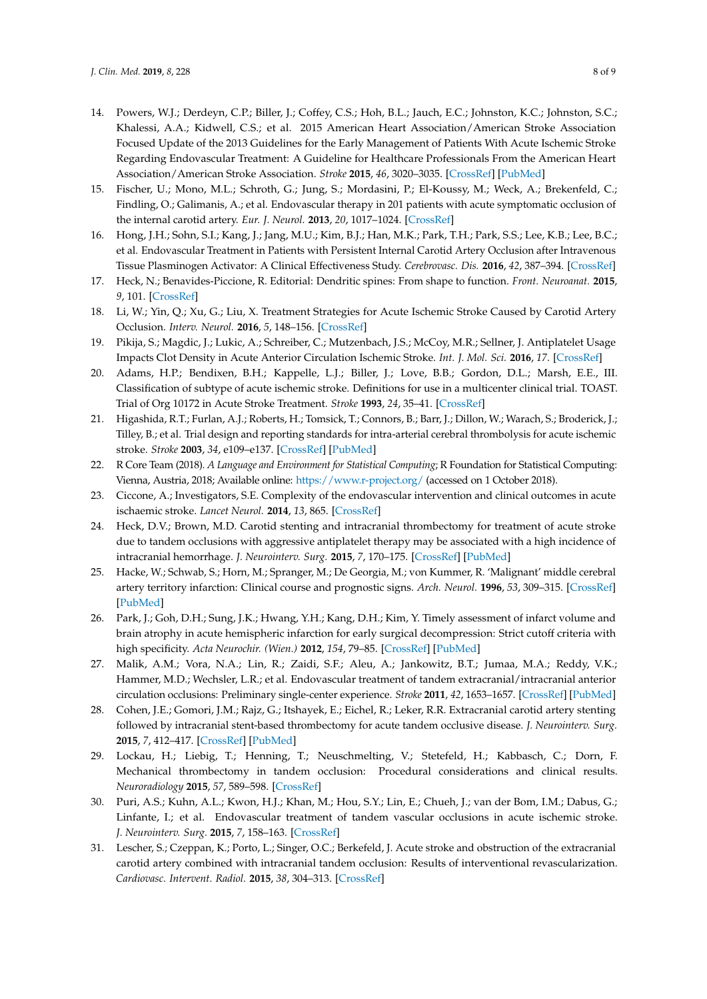- <span id="page-7-0"></span>14. Powers, W.J.; Derdeyn, C.P.; Biller, J.; Coffey, C.S.; Hoh, B.L.; Jauch, E.C.; Johnston, K.C.; Johnston, S.C.; Khalessi, A.A.; Kidwell, C.S.; et al. 2015 American Heart Association/American Stroke Association Focused Update of the 2013 Guidelines for the Early Management of Patients With Acute Ischemic Stroke Regarding Endovascular Treatment: A Guideline for Healthcare Professionals From the American Heart Association/American Stroke Association. *Stroke* **2015**, *46*, 3020–3035. [\[CrossRef\]](http://dx.doi.org/10.1161/STR.0000000000000074) [\[PubMed\]](http://www.ncbi.nlm.nih.gov/pubmed/26123479)
- <span id="page-7-1"></span>15. Fischer, U.; Mono, M.L.; Schroth, G.; Jung, S.; Mordasini, P.; El-Koussy, M.; Weck, A.; Brekenfeld, C.; Findling, O.; Galimanis, A.; et al. Endovascular therapy in 201 patients with acute symptomatic occlusion of the internal carotid artery. *Eur. J. Neurol.* **2013**, *20*, 1017–1024. [\[CrossRef\]](http://dx.doi.org/10.1111/ene.12094)
- <span id="page-7-2"></span>16. Hong, J.H.; Sohn, S.I.; Kang, J.; Jang, M.U.; Kim, B.J.; Han, M.K.; Park, T.H.; Park, S.S.; Lee, K.B.; Lee, B.C.; et al. Endovascular Treatment in Patients with Persistent Internal Carotid Artery Occlusion after Intravenous Tissue Plasminogen Activator: A Clinical Effectiveness Study. *Cerebrovasc. Dis.* **2016**, *42*, 387–394. [\[CrossRef\]](http://dx.doi.org/10.1159/000447599)
- <span id="page-7-3"></span>17. Heck, N.; Benavides-Piccione, R. Editorial: Dendritic spines: From shape to function. *Front. Neuroanat.* **2015**, *9*, 101. [\[CrossRef\]](http://dx.doi.org/10.3389/fnana.2015.00101)
- <span id="page-7-4"></span>18. Li, W.; Yin, Q.; Xu, G.; Liu, X. Treatment Strategies for Acute Ischemic Stroke Caused by Carotid Artery Occlusion. *Interv. Neurol.* **2016**, *5*, 148–156. [\[CrossRef\]](http://dx.doi.org/10.1159/000445304)
- <span id="page-7-5"></span>19. Pikija, S.; Magdic, J.; Lukic, A.; Schreiber, C.; Mutzenbach, J.S.; McCoy, M.R.; Sellner, J. Antiplatelet Usage Impacts Clot Density in Acute Anterior Circulation Ischemic Stroke. *Int. J. Mol. Sci.* **2016**, *17*. [\[CrossRef\]](http://dx.doi.org/10.3390/ijms17091382)
- <span id="page-7-13"></span><span id="page-7-6"></span>20. Adams, H.P.; Bendixen, B.H.; Kappelle, L.J.; Biller, J.; Love, B.B.; Gordon, D.L.; Marsh, E.E., III. Classification of subtype of acute ischemic stroke. Definitions for use in a multicenter clinical trial. TOAST. Trial of Org 10172 in Acute Stroke Treatment. *Stroke* **1993**, *24*, 35–41. [\[CrossRef\]](http://dx.doi.org/10.1161/01.STR.24.1.35)
- <span id="page-7-7"></span>21. Higashida, R.T.; Furlan, A.J.; Roberts, H.; Tomsick, T.; Connors, B.; Barr, J.; Dillon, W.; Warach, S.; Broderick, J.; Tilley, B.; et al. Trial design and reporting standards for intra-arterial cerebral thrombolysis for acute ischemic stroke. *Stroke* **2003**, *34*, e109–e137. [\[CrossRef\]](http://dx.doi.org/10.1161/01.STR.0000082721.62796.09) [\[PubMed\]](http://www.ncbi.nlm.nih.gov/pubmed/12869717)
- <span id="page-7-14"></span><span id="page-7-8"></span>22. R Core Team (2018). *A Language and Environment for Statistical Computing*; R Foundation for Statistical Computing: Vienna, Austria, 2018; Available online: <https://www.r-project.org/> (accessed on 1 October 2018).
- <span id="page-7-15"></span><span id="page-7-9"></span>23. Ciccone, A.; Investigators, S.E. Complexity of the endovascular intervention and clinical outcomes in acute ischaemic stroke. *Lancet Neurol.* **2014**, *13*, 865. [\[CrossRef\]](http://dx.doi.org/10.1016/S1474-4422(14)70174-7)
- <span id="page-7-10"></span>24. Heck, D.V.; Brown, M.D. Carotid stenting and intracranial thrombectomy for treatment of acute stroke due to tandem occlusions with aggressive antiplatelet therapy may be associated with a high incidence of intracranial hemorrhage. *J. Neurointerv. Surg.* **2015**, *7*, 170–175. [\[CrossRef\]](http://dx.doi.org/10.1136/neurintsurg-2014-011224) [\[PubMed\]](http://www.ncbi.nlm.nih.gov/pubmed/25387730)
- <span id="page-7-16"></span><span id="page-7-11"></span>25. Hacke, W.; Schwab, S.; Horn, M.; Spranger, M.; De Georgia, M.; von Kummer, R. 'Malignant' middle cerebral artery territory infarction: Clinical course and prognostic signs. *Arch. Neurol.* **1996**, *53*, 309–315. [\[CrossRef\]](http://dx.doi.org/10.1001/archneur.1996.00550040037012) [\[PubMed\]](http://www.ncbi.nlm.nih.gov/pubmed/8929152)
- <span id="page-7-12"></span>26. Park, J.; Goh, D.H.; Sung, J.K.; Hwang, Y.H.; Kang, D.H.; Kim, Y. Timely assessment of infarct volume and brain atrophy in acute hemispheric infarction for early surgical decompression: Strict cutoff criteria with high specificity. *Acta Neurochir. (Wien.)* **2012**, *154*, 79–85. [\[CrossRef\]](http://dx.doi.org/10.1007/s00701-011-1178-z) [\[PubMed\]](http://www.ncbi.nlm.nih.gov/pubmed/21979162)
- 27. Malik, A.M.; Vora, N.A.; Lin, R.; Zaidi, S.F.; Aleu, A.; Jankowitz, B.T.; Jumaa, M.A.; Reddy, V.K.; Hammer, M.D.; Wechsler, L.R.; et al. Endovascular treatment of tandem extracranial/intracranial anterior circulation occlusions: Preliminary single-center experience. *Stroke* **2011**, *42*, 1653–1657. [\[CrossRef\]](http://dx.doi.org/10.1161/STROKEAHA.110.595520) [\[PubMed\]](http://www.ncbi.nlm.nih.gov/pubmed/21512175)
- 28. Cohen, J.E.; Gomori, J.M.; Rajz, G.; Itshayek, E.; Eichel, R.; Leker, R.R. Extracranial carotid artery stenting followed by intracranial stent-based thrombectomy for acute tandem occlusive disease. *J. Neurointerv. Surg.* **2015**, *7*, 412–417. [\[CrossRef\]](http://dx.doi.org/10.1136/neurintsurg-2014-011175) [\[PubMed\]](http://www.ncbi.nlm.nih.gov/pubmed/24727131)
- 29. Lockau, H.; Liebig, T.; Henning, T.; Neuschmelting, V.; Stetefeld, H.; Kabbasch, C.; Dorn, F. Mechanical thrombectomy in tandem occlusion: Procedural considerations and clinical results. *Neuroradiology* **2015**, *57*, 589–598. [\[CrossRef\]](http://dx.doi.org/10.1007/s00234-014-1465-5)
- 30. Puri, A.S.; Kuhn, A.L.; Kwon, H.J.; Khan, M.; Hou, S.Y.; Lin, E.; Chueh, J.; van der Bom, I.M.; Dabus, G.; Linfante, I.; et al. Endovascular treatment of tandem vascular occlusions in acute ischemic stroke. *J. Neurointerv. Surg.* **2015**, *7*, 158–163. [\[CrossRef\]](http://dx.doi.org/10.1136/neurintsurg-2013-011010)
- 31. Lescher, S.; Czeppan, K.; Porto, L.; Singer, O.C.; Berkefeld, J. Acute stroke and obstruction of the extracranial carotid artery combined with intracranial tandem occlusion: Results of interventional revascularization. *Cardiovasc. Intervent. Radiol.* **2015**, *38*, 304–313. [\[CrossRef\]](http://dx.doi.org/10.1007/s00270-014-1047-2)